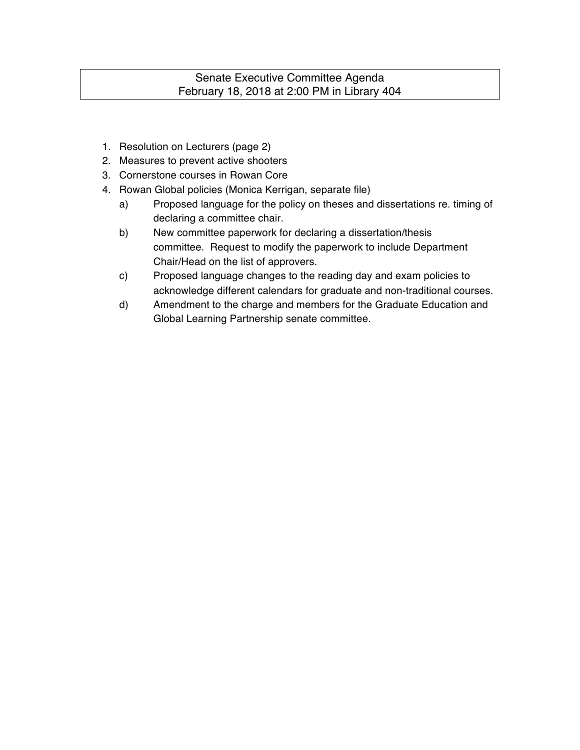## Senate Executive Committee Agenda February 18, 2018 at 2:00 PM in Library 404

- 1. Resolution on Lecturers (page 2)
- 2. Measures to prevent active shooters
- 3. Cornerstone courses in Rowan Core
- 4. Rowan Global policies (Monica Kerrigan, separate file)
	- a) Proposed language for the policy on theses and dissertations re. timing of declaring a committee chair.
	- b) New committee paperwork for declaring a dissertation/thesis committee. Request to modify the paperwork to include Department Chair/Head on the list of approvers.
	- c) Proposed language changes to the reading day and exam policies to acknowledge different calendars for graduate and non-traditional courses.
	- d) Amendment to the charge and members for the Graduate Education and Global Learning Partnership senate committee.